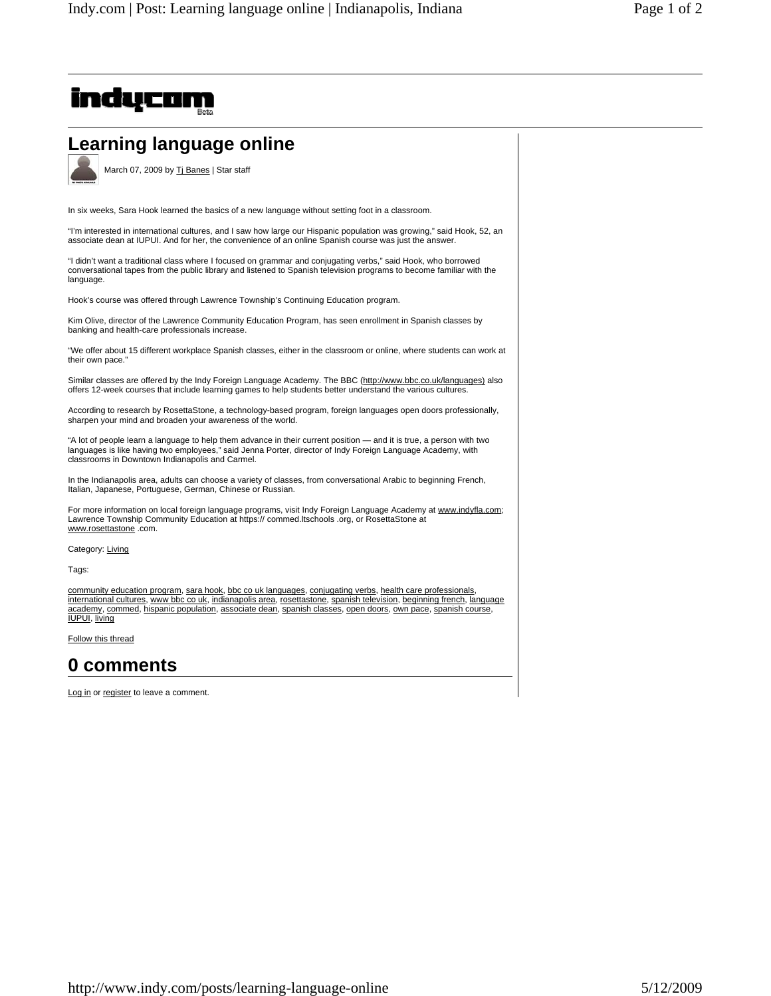

## **Learning language online**



March 07, 2009 by Ti Banes | Star staff

In six weeks, Sara Hook learned the basics of a new language without setting foot in a classroom.

"I'm interested in international cultures, and I saw how large our Hispanic population was growing," said Hook, 52, an associate dean at IUPUI. And for her, the convenience of an online Spanish course was just the answer.

"I didn't want a traditional class where I focused on grammar and conjugating verbs," said Hook, who borrowed conversational tapes from the public library and listened to Spanish television programs to become familiar with the language.

Hook's course was offered through Lawrence Township's Continuing Education program.

Kim Olive, director of the Lawrence Community Education Program, has seen enrollment in Spanish classes by banking and health-care professionals increase.

"We offer about 15 different workplace Spanish classes, either in the classroom or online, where students can work at their own pace."

Similar classes are offered by the Indy Foreign Language Academy. The BBC (http://www.bbc.co.uk/languages) also offers 12-week courses that include learning games to help students better understand the various cultures.

According to research by RosettaStone, a technology-based program, foreign languages open doors professionally, sharpen your mind and broaden your awareness of the world.

"A lot of people learn a language to help them advance in their current position — and it is true, a person with two<br>languages is like having two employees," said Jenna Porter, director of Indy Foreign Language Academy, wi

In the Indianapolis area, adults can choose a variety of classes, from conversational Arabic to beginning French, Italian, Japanese, Portuguese, German, Chinese or Russian.

For more information on local foreign language programs, visit Indy Foreign Language Academy at www.indyfla.com; Lawrence Township Community Education at https:// commed.ltschools .org, or RosettaStone at www.rosettastone .com.

Category: Living

Tags:

community education program, sara hook, bbc co uk languages, conjugating verbs, health care professionals, international cultures, www bbc co uk, indianapolis area, rosettastone, spanish television, beginning french, language academy, commed, hispanic population, associate dean, spanish classes, open doors, own pace, spanish course, IUPUI, living

Follow this thread

## **0 comments**

Log in or register to leave a comment